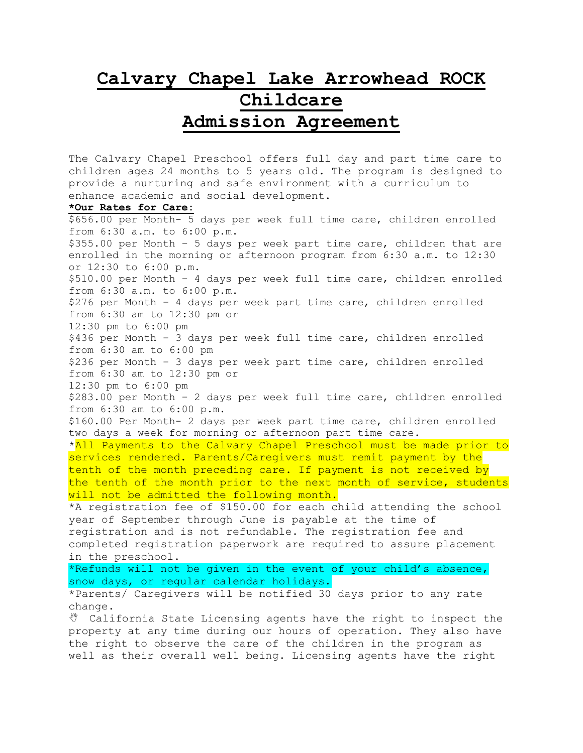## **Calvary Chapel Lake Arrowhead ROCK Childcare**

## **Admission Agreement**

The Calvary Chapel Preschool offers full day and part time care to children ages 24 months to 5 years old. The program is designed to provide a nurturing and safe environment with a curriculum to enhance academic and social development.

## **\*Our Rates for Care:**

\$656.00 per Month- 5 days per week full time care, children enrolled from 6:30 a.m. to 6:00 p.m. \$355.00 per Month – 5 days per week part time care, children that are enrolled in the morning or afternoon program from 6:30 a.m. to 12:30 or 12:30 to 6:00 p.m. \$510.00 per Month – 4 days per week full time care, children enrolled from 6:30 a.m. to 6:00 p.m. \$276 per Month – 4 days per week part time care, children enrolled from 6:30 am to 12:30 pm or 12:30 pm to 6:00 pm \$436 per Month – 3 days per week full time care, children enrolled from 6:30 am to 6:00 pm \$236 per Month – 3 days per week part time care, children enrolled from 6:30 am to 12:30 pm or 12:30 pm to 6:00 pm \$283.00 per Month – 2 days per week full time care, children enrolled from 6:30 am to 6:00 p.m. \$160.00 Per Month- 2 days per week part time care, children enrolled two days a week for morning or afternoon part time care. \*All Payments to the Calvary Chapel Preschool must be made prior to services rendered. Parents/Caregivers must remit payment by the tenth of the month preceding care. If payment is not received by the tenth of the month prior to the next month of service, students will not be admitted the following month. \*A registration fee of \$150.00 for each child attending the school year of September through June is payable at the time of registration and is not refundable. The registration fee and completed registration paperwork are required to assure placement in the preschool. \*Refunds will not be given in the event of your child's absence, snow days, or regular calendar holidays. \*Parents/ Caregivers will be notified 30 days prior to any rate change. California State Licensing agents have the right to inspect the

property at any time during our hours of operation. They also have the right to observe the care of the children in the program as well as their overall well being. Licensing agents have the right